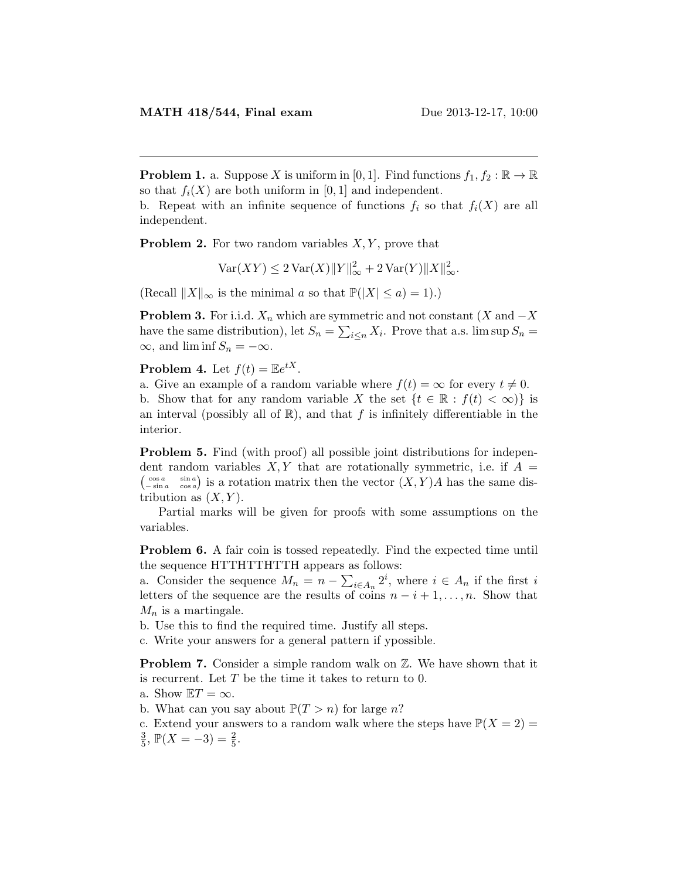**Problem 1.** a. Suppose X is uniform in [0, 1]. Find functions  $f_1, f_2 : \mathbb{R} \to \mathbb{R}$ so that  $f_i(X)$  are both uniform in [0, 1] and independent.

b. Repeat with an infinite sequence of functions  $f_i$  so that  $f_i(X)$  are all independent.

**Problem 2.** For two random variables  $X, Y$ , prove that

 $\text{Var}(XY) \leq 2 \text{Var}(X) ||Y||_{\infty}^2 + 2 \text{Var}(Y) ||X||_{\infty}^2.$ 

(Recall  $||X||_{\infty}$  is the minimal a so that  $\mathbb{P}(|X| \leq a) = 1$ ).)

**Problem 3.** For i.i.d.  $X_n$  which are symmetric and not constant (X and  $-X$ have the same distribution), let  $S_n = \sum_{i \leq n} X_i$ . Prove that a.s. lim sup  $S_n =$  $\infty$ , and lim inf  $S_n = -\infty$ .

**Problem 4.** Let  $f(t) = \mathbb{E}e^{tX}$ .

a. Give an example of a random variable where  $f(t) = \infty$  for every  $t \neq 0$ . b. Show that for any random variable X the set  $\{t \in \mathbb{R} : f(t) < \infty\}$  is an interval (possibly all of  $\mathbb{R}$ ), and that f is infinitely differentiable in the interior.

Problem 5. Find (with proof) all possible joint distributions for independent random variables  $X, Y$  that are rotationally symmetric, i.e. if  $A =$  $\begin{pmatrix} \cos a & \sin a \\ -\sin a & \cos a \end{pmatrix}$  is a rotation matrix then the vector  $(X, Y)A$  has the same distribution as  $(X, Y)$ .

Partial marks will be given for proofs with some assumptions on the variables.

**Problem 6.** A fair coin is tossed repeatedly. Find the expected time until the sequence HTTHTTHTTH appears as follows:

a. Consider the sequence  $M_n = n - \sum_{i \in A_n} 2^i$ , where  $i \in A_n$  if the first i letters of the sequence are the results of coins  $n - i + 1, \ldots, n$ . Show that  $M_n$  is a martingale.

b. Use this to find the required time. Justify all steps.

c. Write your answers for a general pattern if ypossible.

**Problem 7.** Consider a simple random walk on  $\mathbb{Z}$ . We have shown that it is recurrent. Let T be the time it takes to return to 0.

a. Show  $\mathbb{E}T = \infty$ .

b. What can you say about  $\mathbb{P}(T > n)$  for large n?

c. Extend your answers to a random walk where the steps have  $\mathbb{P}(X = 2)$ 

3  $\frac{3}{5}$ ,  $\mathbb{P}(X = -3) = \frac{2}{5}$ .